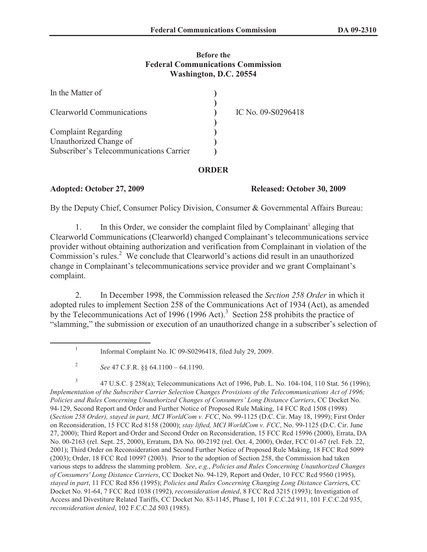## **Before the Federal Communications Commission Washington, D.C. 20554**

| In the Matter of                        |                    |
|-----------------------------------------|--------------------|
| Clearworld Communications               | IC No. 09-S0296418 |
| <b>Complaint Regarding</b>              |                    |
|                                         |                    |
| Unauthorized Change of                  |                    |
| Subscriber's Telecommunications Carrier |                    |

## **ORDER**

# **Adopted: October 27, 2009 Released: October 30, 2009**

By the Deputy Chief, Consumer Policy Division, Consumer & Governmental Affairs Bureau:

1. In this Order, we consider the complaint filed by Complainant<sup>1</sup> alleging that Clearworld Communications (Clearworld) changed Complainant's telecommunications service provider without obtaining authorization and verification from Complainant in violation of the Commission's rules.<sup>2</sup> We conclude that Clearworld's actions did result in an unauthorized change in Complainant's telecommunications service provider and we grant Complainant's complaint.

2. In December 1998, the Commission released the *Section 258 Order* in which it adopted rules to implement Section 258 of the Communications Act of 1934 (Act), as amended by the Telecommunications Act of 1996 (1996 Act).<sup>3</sup> Section 258 prohibits the practice of "slamming," the submission or execution of an unauthorized change in a subscriber's selection of

3 47 U.S.C. § 258(a); Telecommunications Act of 1996, Pub. L. No. 104-104, 110 Stat. 56 (1996); *Implementation of the Subscriber Carrier Selection Changes Provisions of the Telecommunications Act of 1996; Policies and Rules Concerning Unauthorized Changes of Consumers' Long Distance Carriers*, CC Docket No. 94-129, Second Report and Order and Further Notice of Proposed Rule Making, 14 FCC Rcd 1508 (1998) (*Section 258 Order), stayed in part, MCI WorldCom v. FCC*, No. 99-1125 (D.C. Cir. May 18, 1999); First Order on Reconsideration, 15 FCC Rcd 8158 (2000); *stay lifted, MCI WorldCom v. FCC*, No. 99-1125 (D.C. Cir. June 27, 2000); Third Report and Order and Second Order on Reconsideration, 15 FCC Rcd 15996 (2000), Errata, DA No. 00-2163 (rel. Sept. 25, 2000), Erratum, DA No. 00-2192 (rel. Oct. 4, 2000), Order, FCC 01-67 (rel. Feb. 22, 2001); Third Order on Reconsideration and Second Further Notice of Proposed Rule Making, 18 FCC Rcd 5099 (2003); Order, 18 FCC Rcd 10997 (2003). Prior to the adoption of Section 258, the Commission had taken various steps to address the slamming problem. *See*, *e.g.*, *Policies and Rules Concerning Unauthorized Changes of Consumers' Long Distance Carriers*, CC Docket No. 94-129, Report and Order, 10 FCC Rcd 9560 (1995), *stayed in part*, 11 FCC Rcd 856 (1995); *Policies and Rules Concerning Changing Long Distance Carrier*s, CC Docket No. 91-64, 7 FCC Rcd 1038 (1992), *reconsideration denied*, 8 FCC Rcd 3215 (1993); Investigation of Access and Divestiture Related Tariffs, CC Docket No. 83-1145, Phase I, 101 F.C.C.2d 911, 101 F.C.C.2d 935, *reconsideration denied*, 102 F.C.C.2d 503 (1985).

<sup>1</sup> Informal Complaint No. IC 09-S0296418, filed July 29, 2009.

<sup>2</sup> *See* 47 C.F.R. §§ 64.1100 – 64.1190.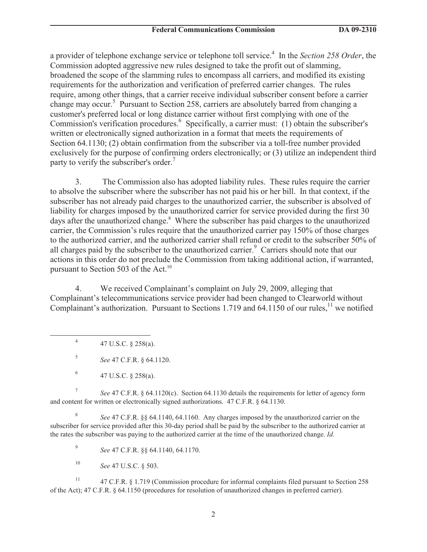a provider of telephone exchange service or telephone toll service.<sup>4</sup> In the *Section 258 Order*, the Commission adopted aggressive new rules designed to take the profit out of slamming, broadened the scope of the slamming rules to encompass all carriers, and modified its existing requirements for the authorization and verification of preferred carrier changes. The rules require, among other things, that a carrier receive individual subscriber consent before a carrier change may occur.<sup>5</sup> Pursuant to Section 258, carriers are absolutely barred from changing a customer's preferred local or long distance carrier without first complying with one of the Commission's verification procedures.<sup>6</sup> Specifically, a carrier must: (1) obtain the subscriber's written or electronically signed authorization in a format that meets the requirements of Section 64.1130; (2) obtain confirmation from the subscriber via a toll-free number provided exclusively for the purpose of confirming orders electronically; or (3) utilize an independent third party to verify the subscriber's order.<sup>7</sup>

3. The Commission also has adopted liability rules. These rules require the carrier to absolve the subscriber where the subscriber has not paid his or her bill. In that context, if the subscriber has not already paid charges to the unauthorized carrier, the subscriber is absolved of liability for charges imposed by the unauthorized carrier for service provided during the first 30 days after the unauthorized change.<sup>8</sup> Where the subscriber has paid charges to the unauthorized carrier, the Commission's rules require that the unauthorized carrier pay 150% of those charges to the authorized carrier, and the authorized carrier shall refund or credit to the subscriber 50% of all charges paid by the subscriber to the unauthorized carrier.<sup>9</sup> Carriers should note that our actions in this order do not preclude the Commission from taking additional action, if warranted, pursuant to Section 503 of the Act.<sup>10</sup>

4. We received Complainant's complaint on July 29, 2009, alleging that Complainant's telecommunications service provider had been changed to Clearworld without Complainant's authorization. Pursuant to Sections 1.719 and 64.1150 of our rules,<sup>11</sup> we notified

4 47 U.S.C. § 258(a).

5 *See* 47 C.F.R. § 64.1120.

7 *See* 47 C.F.R. § 64.1120(c). Section 64.1130 details the requirements for letter of agency form and content for written or electronically signed authorizations. 47 C.F.R. § 64.1130.

8 *See* 47 C.F.R. §§ 64.1140, 64.1160. Any charges imposed by the unauthorized carrier on the subscriber for service provided after this 30-day period shall be paid by the subscriber to the authorized carrier at the rates the subscriber was paying to the authorized carrier at the time of the unauthorized change. *Id.*

9 *See* 47 C.F.R. §§ 64.1140, 64.1170.

<sup>10</sup> *See* 47 U.S.C. § 503.

<sup>11</sup> 47 C.F.R. § 1.719 (Commission procedure for informal complaints filed pursuant to Section 258 of the Act); 47 C.F.R. § 64.1150 (procedures for resolution of unauthorized changes in preferred carrier).

<sup>6</sup> 47 U.S.C. § 258(a).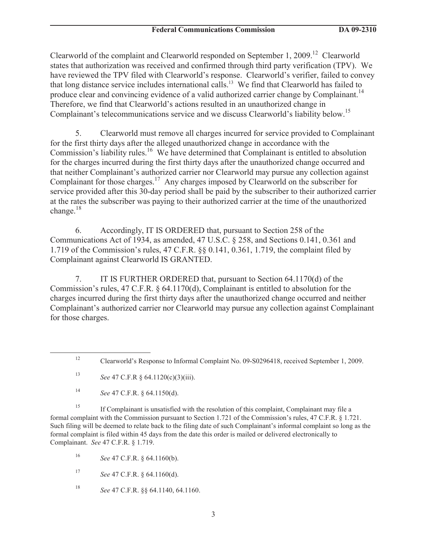Clearworld of the complaint and Clearworld responded on September 1, 2009.<sup>12</sup> Clearworld states that authorization was received and confirmed through third party verification (TPV). We have reviewed the TPV filed with Clearworld's response. Clearworld's verifier, failed to convey that long distance service includes international calls.<sup>13</sup> We find that Clearworld has failed to produce clear and convincing evidence of a valid authorized carrier change by Complainant.<sup>14</sup> Therefore, we find that Clearworld's actions resulted in an unauthorized change in Complainant's telecommunications service and we discuss Clearworld's liability below.<sup>15</sup>

5. Clearworld must remove all charges incurred for service provided to Complainant for the first thirty days after the alleged unauthorized change in accordance with the Commission's liability rules.<sup>16</sup> We have determined that Complainant is entitled to absolution for the charges incurred during the first thirty days after the unauthorized change occurred and that neither Complainant's authorized carrier nor Clearworld may pursue any collection against Complainant for those charges.<sup>17</sup> Any charges imposed by Clearworld on the subscriber for service provided after this 30-day period shall be paid by the subscriber to their authorized carrier at the rates the subscriber was paying to their authorized carrier at the time of the unauthorized change. $18$ 

6. Accordingly, IT IS ORDERED that, pursuant to Section 258 of the Communications Act of 1934, as amended, 47 U.S.C. § 258, and Sections 0.141, 0.361 and 1.719 of the Commission's rules, 47 C.F.R. §§ 0.141, 0.361, 1.719, the complaint filed by Complainant against Clearworld IS GRANTED.

7. IT IS FURTHER ORDERED that, pursuant to Section 64.1170(d) of the Commission's rules, 47 C.F.R. § 64.1170(d), Complainant is entitled to absolution for the charges incurred during the first thirty days after the unauthorized change occurred and neither Complainant's authorized carrier nor Clearworld may pursue any collection against Complainant for those charges.

<sup>15</sup> If Complainant is unsatisfied with the resolution of this complaint, Complainant may file a formal complaint with the Commission pursuant to Section 1.721 of the Commission's rules, 47 C.F.R. § 1.721. Such filing will be deemed to relate back to the filing date of such Complainant's informal complaint so long as the formal complaint is filed within 45 days from the date this order is mailed or delivered electronically to Complainant. *See* 47 C.F.R. § 1.719.

<sup>16</sup> *See* 47 C.F.R. § 64.1160(b).

<sup>17</sup> *See* 47 C.F.R. § 64.1160(d).

<sup>18</sup> *See* 47 C.F.R. §§ 64.1140, 64.1160.

<sup>&</sup>lt;sup>12</sup> Clearworld's Response to Informal Complaint No. 09-S0296418, received September 1, 2009.

<sup>13</sup> *See* 47 C.F.R § 64.1120(c)(3)(iii).

<sup>14</sup> *See* 47 C.F.R. § 64.1150(d).